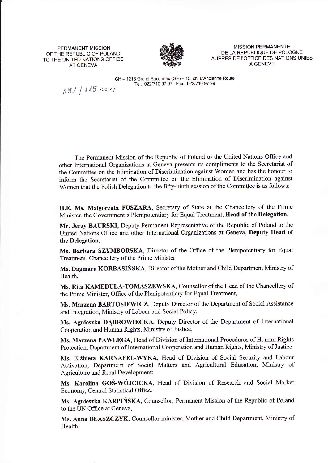PERMANENT MISSION OF THE REPUBLIC OF POLAND TO THE UNITED NATIONS OFFICE AT GENEVA



MISSION PERMANENTE DE LA REPUBLIQUE DE POLOGNE AUPRES DE I'OFFICE DES NATIONS UNIES A GENEVE

CH - 1218 Grand Saconnex (GE) - 15, ch. L'Ancienne Route Tel. 022/710 97 97, Fax. 022/710 97 99

 $181 / 115 / 2014/$ 

The Pennanent Mission of the Republic of Poland to the United Nations Office and other Intemational Organizations at Geneva presents its compliments to the Secretariat of the Committee on the Elimination of Discrimination against Women and has the honour to inform the Secretariat of the Committee on the Elimination of Discrimination against Women that the Polish Delegation to the fifty-ninth session of the Committee is as follows:

H.E. Ms. Małgorzata FUSZARA, Secretary of State at the Chancellery of the Prime Minister, the Government's Plenipotentiary for Equal Treatment, Head of the Delegation,

Mr. Jerzy BAURSKI, Deputy Permanent Representative of the Republic of Poland to the United Nations Office and other International Organizations at Geneva, Deputy Head of the Delegation,

Ms. Barbara SZYMBORSKA, Director of the Office of the Plenipotentiary for Equal Treatment, Chancellery of the Prime Minister

Ms. Dagmara KORBASIŃSKA, Director of the Mother and Child Department Ministry of Health,

Ms. Rita KAMEDUŁA-TOMASZEWSKA, Counsellor of the Head of the Chancellery of the Prime Minister, Office of the Plenipotentiary for Equal Treatment,

Ms. Marzena BARTOSIEWICZ, Deputy Director of the Department of Social Assistance and Integration, Ministry of Labour and Social Policy,

Ms. Agnieszka DABROWIECKA, Deputy Director of the Department of International Cooperation and Human Rights, Ministry of Justice,

Ms. Marzena PAWLĘGA, Head of Division of Intemational Procedures of Human Rights Protection, Department of International Cooperation and Human Rights, Ministry of Justice

Ms. Elżbieta KARNAFEL-WYKA, Head of Division of Social Security and Labour Activation, Departrnent of Social Matters and Agricultural Education, Ministry of Agriculture and Rural Development;

Ms. Karolina GOŚ-WÓJCICKA, Head of Division of Research and Social Market Economy, Central Statistical Office,

Ms. Agnieszka KARPIŃSKA, Counsellor, Permanent Mission of the Republic of Poland to the UN Office at Geneva,

Ms. Anna BŁASZCZYK, Counsellor minister, Mother and Child Department, Ministry of Health,